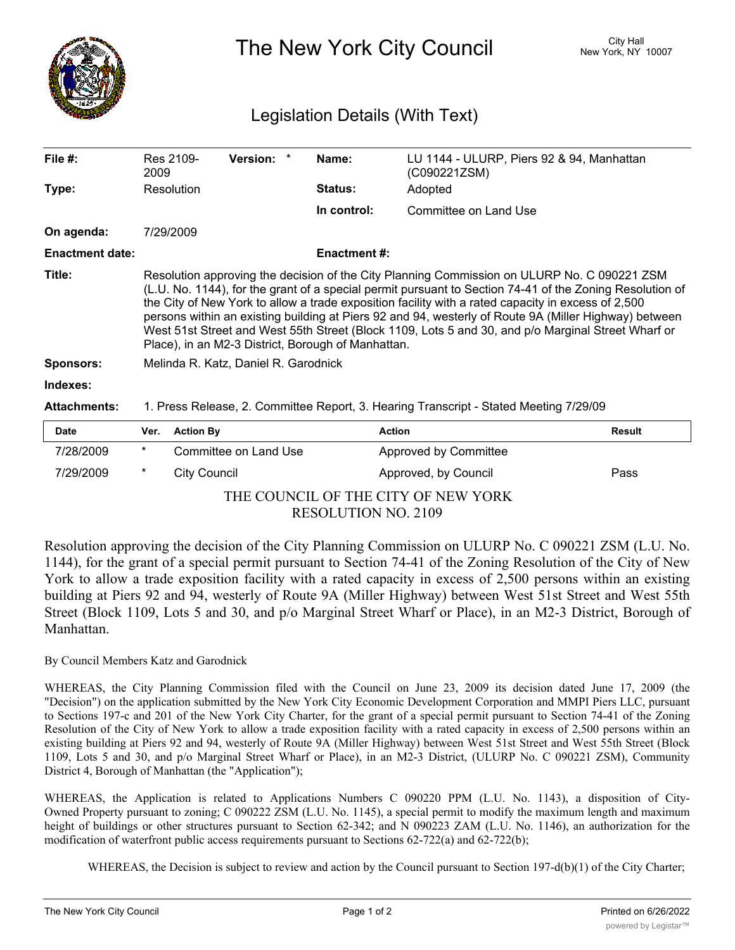

The New York City Council New York, NY 10007

## Legislation Details (With Text)

| File #:                | Res 2109-<br>2009                                                                                                                                                                                                                                                                                                                                                                                                                                                                                                                                                                  | Version: | Name:               | LU 1144 - ULURP, Piers 92 & 94, Manhattan<br>(C090221ZSM) |  |  |  |  |
|------------------------|------------------------------------------------------------------------------------------------------------------------------------------------------------------------------------------------------------------------------------------------------------------------------------------------------------------------------------------------------------------------------------------------------------------------------------------------------------------------------------------------------------------------------------------------------------------------------------|----------|---------------------|-----------------------------------------------------------|--|--|--|--|
| Type:                  | Resolution                                                                                                                                                                                                                                                                                                                                                                                                                                                                                                                                                                         |          | <b>Status:</b>      | Adopted                                                   |  |  |  |  |
|                        |                                                                                                                                                                                                                                                                                                                                                                                                                                                                                                                                                                                    |          | In control:         | Committee on Land Use                                     |  |  |  |  |
| On agenda:             | 7/29/2009                                                                                                                                                                                                                                                                                                                                                                                                                                                                                                                                                                          |          |                     |                                                           |  |  |  |  |
| <b>Enactment date:</b> |                                                                                                                                                                                                                                                                                                                                                                                                                                                                                                                                                                                    |          | <b>Enactment #:</b> |                                                           |  |  |  |  |
| Title:                 | Resolution approving the decision of the City Planning Commission on ULURP No. C 090221 ZSM<br>(L.U. No. 1144), for the grant of a special permit pursuant to Section 74-41 of the Zoning Resolution of<br>the City of New York to allow a trade exposition facility with a rated capacity in excess of 2,500<br>persons within an existing building at Piers 92 and 94, westerly of Route 9A (Miller Highway) between<br>West 51st Street and West 55th Street (Block 1109, Lots 5 and 30, and p/o Marginal Street Wharf or<br>Place), in an M2-3 District, Borough of Manhattan. |          |                     |                                                           |  |  |  |  |
| <b>Sponsors:</b>       | Melinda R. Katz, Daniel R. Garodnick                                                                                                                                                                                                                                                                                                                                                                                                                                                                                                                                               |          |                     |                                                           |  |  |  |  |
| Indexes:               |                                                                                                                                                                                                                                                                                                                                                                                                                                                                                                                                                                                    |          |                     |                                                           |  |  |  |  |
| <b>Attachments:</b>    | 1. Press Release, 2. Committee Report, 3. Hearing Transcript - Stated Meeting 7/29/09                                                                                                                                                                                                                                                                                                                                                                                                                                                                                              |          |                     |                                                           |  |  |  |  |
| Date                   | <b>Action By</b><br>Ver.                                                                                                                                                                                                                                                                                                                                                                                                                                                                                                                                                           |          |                     | <b>Action</b><br>Result                                   |  |  |  |  |

| <b>Date</b> |                                     | Ver. Action By        | <b>Action</b>         | Result |  |  |  |
|-------------|-------------------------------------|-----------------------|-----------------------|--------|--|--|--|
| 7/28/2009   | *                                   | Committee on Land Use | Approved by Committee |        |  |  |  |
| 7/29/2009   | $\ast$                              | City Council          | Approved, by Council  | Pass   |  |  |  |
|             | THE COUNCIL OF THE CITY OF NEW YORK |                       |                       |        |  |  |  |

RESOLUTION NO. 2109

Resolution approving the decision of the City Planning Commission on ULURP No. C 090221 ZSM (L.U. No. 1144), for the grant of a special permit pursuant to Section 74-41 of the Zoning Resolution of the City of New York to allow a trade exposition facility with a rated capacity in excess of 2,500 persons within an existing building at Piers 92 and 94, westerly of Route 9A (Miller Highway) between West 51st Street and West 55th Street (Block 1109, Lots 5 and 30, and p/o Marginal Street Wharf or Place), in an M2-3 District, Borough of Manhattan.

## By Council Members Katz and Garodnick

WHEREAS, the City Planning Commission filed with the Council on June 23, 2009 its decision dated June 17, 2009 (the "Decision") on the application submitted by the New York City Economic Development Corporation and MMPI Piers LLC, pursuant to Sections 197-c and 201 of the New York City Charter, for the grant of a special permit pursuant to Section 74-41 of the Zoning Resolution of the City of New York to allow a trade exposition facility with a rated capacity in excess of 2,500 persons within an existing building at Piers 92 and 94, westerly of Route 9A (Miller Highway) between West 51st Street and West 55th Street (Block 1109, Lots 5 and 30, and p/o Marginal Street Wharf or Place), in an M2-3 District, (ULURP No. C 090221 ZSM), Community District 4, Borough of Manhattan (the "Application");

WHEREAS, the Application is related to Applications Numbers C 090220 PPM (L.U. No. 1143), a disposition of City-Owned Property pursuant to zoning; C 090222 ZSM (L.U. No. 1145), a special permit to modify the maximum length and maximum height of buildings or other structures pursuant to Section 62-342; and N 090223 ZAM (L.U. No. 1146), an authorization for the modification of waterfront public access requirements pursuant to Sections 62-722(a) and 62-722(b);

WHEREAS, the Decision is subject to review and action by the Council pursuant to Section 197-d(b)(1) of the City Charter;